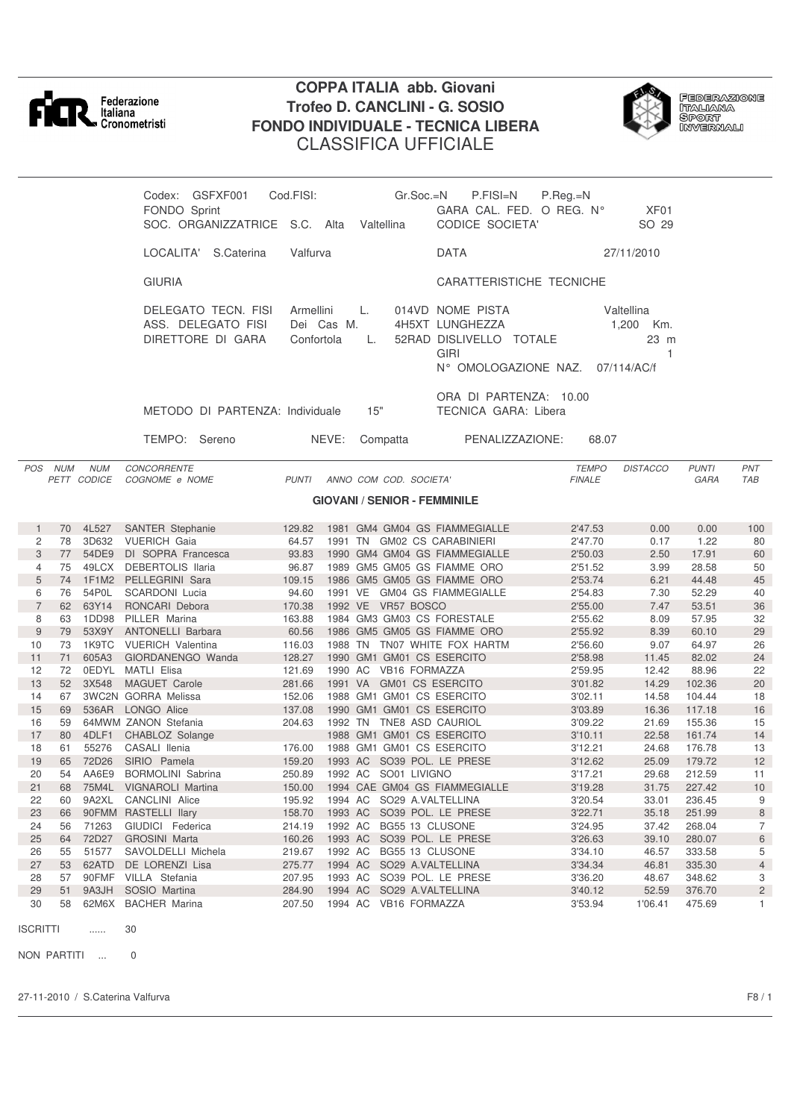

## **COPPA ITALIA abb. Giovani Trofeo D. CANCLINI - G. SOSIO FONDO INDIVIDUALE - TECNICA LIBERA** CLASSIFICA UFFICIALE



**FEDERAZIONE** l Ederation<br>Italiana<br>Sport<br>Invernali

| Codex:        | GSFXF001                        | Cod.FISI:  | Gr.Soc.=N      | P.FISI=N                        | $P.$ Reg. $=N$   |
|---------------|---------------------------------|------------|----------------|---------------------------------|------------------|
| FONDO Sprint  |                                 |            |                | GARA CAL. FED. O REG. N°        | XF <sub>01</sub> |
|               | SOC. ORGANIZZATRICE S.C.        | Alta       | Valtellina     | <b>CODICE SOCIETA'</b>          | SO 29            |
| LOCALITA'     | S.Caterina                      | Valfurva   |                | <b>DATA</b>                     | 27/11/2010       |
| <b>GIURIA</b> |                                 |            |                | CARATTERISTICHE TECNICHE        |                  |
|               | DELEGATO TECN. FISI             | Armellini  | $\mathsf{L}$ . | 014VD NOME PISTA                | Valtellina       |
|               | ASS. DELEGATO FISI              | Dei Cas M. |                | 4H5XT LUNGHEZZA                 | 1.200<br>Km.     |
|               | DIRETTORE DI GARA               | Confortola |                | 52RAD DISLIVELLO TOTALE<br>GIRI | 23 m             |
|               |                                 |            |                | N° OMOLOGAZIONE NAZ.            | 07/114/AC/f      |
|               |                                 |            |                | ORA DI PARTENZA: 10.00          |                  |
|               | METODO DI PARTENZA: Individuale |            | 15"            | TECNICA GARA: Libera            |                  |
| TEMPO:        | Sereno                          | NEVE:      | Compatta       | PENALIZZAZIONE:                 | 68.07            |

*POS NUM NUM CONCORRENTE TEMPO DISTACCO PUNTI PNT PETT CODICE COGNOME e NOME* 

## **GIOVANI / SENIOR - FEMMINILE**

|                | 70 | 4L527 | <b>SANTER Stephanie</b>    | 129.82 |         |    | 1981 GM4 GM04 GS FIAMMEGIALLE | 2'47.53 | 0.00    | 0.00   | 100            |
|----------------|----|-------|----------------------------|--------|---------|----|-------------------------------|---------|---------|--------|----------------|
| 2              | 78 | 3D632 | <b>VUERICH Gaia</b>        | 64.57  | 1991    | TN | <b>GM02 CS CARABINIERI</b>    | 2'47.70 | 0.17    | 1.22   | 80             |
| 3              | 77 | 54DE9 | DI SOPRA Francesca         | 93.83  |         |    | 1990 GM4 GM04 GS FIAMMEGIALLE | 2'50.03 | 2.50    | 17.91  | 60             |
| 4              | 75 | 49LCX | DEBERTOLIS Ilaria          | 96.87  |         |    | 1989 GM5 GM05 GS FIAMME ORO   | 2'51.52 | 3.99    | 28.58  | 50             |
| 5              | 74 | 1F1M2 | PELLEGRINI Sara            | 109.15 |         |    | 1986 GM5 GM05 GS FIAMME ORO   | 2'53.74 | 6.21    | 44.48  | 45             |
| 6              | 76 | 54P0L | <b>SCARDONI</b> Lucia      | 94.60  | 1991 VE |    | <b>GM04 GS FIAMMEGIALLE</b>   | 2'54.83 | 7.30    | 52.29  | 40             |
| $\overline{7}$ | 62 | 63Y14 | RONCARI Debora             | 170.38 | 1992 VE |    | VR57 BOSCO                    | 2'55.00 | 7.47    | 53.51  | 36             |
| 8              | 63 | 1DD98 | PILLER Marina              | 163.88 |         |    | 1984 GM3 GM03 CS FORESTALE    | 2'55.62 | 8.09    | 57.95  | 32             |
| 9              | 79 | 53X9Y | <b>ANTONELLI Barbara</b>   | 60.56  |         |    | 1986 GM5 GM05 GS FIAMME ORO   | 2'55.92 | 8.39    | 60.10  | 29             |
| 10             | 73 | 1K9TC | <b>VUERICH Valentina</b>   | 116.03 | 1988    | TN | TN07 WHITE FOX HARTM          | 2'56.60 | 9.07    | 64.97  | 26             |
| 11             | 71 | 605A3 | GIORDANENGO Wanda          | 128.27 |         |    | 1990 GM1 GM01 CS ESERCITO     | 2'58.98 | 11.45   | 82.02  | 24             |
| 12             | 72 | 0EDYL | <b>MATLI Elisa</b>         | 121.69 | 1990 AC |    | VB16 FORMAZZA                 | 2'59.95 | 12.42   | 88.96  | 22             |
| 13             | 52 | 3X548 | <b>MAGUET Carole</b>       | 281.66 | 1991 VA |    | GM01 CS ESERCITO              | 3'01.82 | 14.29   | 102.36 | 20             |
| 14             | 67 |       | <b>3WC2N GORRA Melissa</b> | 152.06 |         |    | 1988 GM1 GM01 CS ESERCITO     | 3'02.11 | 14.58   | 104.44 | 18             |
| 15             | 69 | 536AR | LONGO Alice                | 137.08 |         |    | 1990 GM1 GM01 CS ESERCITO     | 3'03.89 | 16.36   | 117.18 | 16             |
| 16             | 59 |       | 64MWM ZANON Stefania       | 204.63 | 1992 TN |    | TNE8 ASD CAURIOL              | 3'09.22 | 21.69   | 155.36 | 15             |
| 17             | 80 | 4DLF1 | CHABLOZ Solange            |        |         |    | 1988 GM1 GM01 CS ESERCITO     | 3'10.11 | 22.58   | 161.74 | 14             |
| 18             | 61 | 55276 | CASALI Ilenia              | 176.00 |         |    | 1988 GM1 GM01 CS ESERCITO     | 3'12.21 | 24.68   | 176.78 | 13             |
| 19             | 65 | 72D26 | SIRIO Pamela               | 159.20 | 1993 AC |    | SO39 POL. LE PRESE            | 3'12.62 | 25.09   | 179.72 | 12             |
| 20             | 54 | AA6E9 | <b>BORMOLINI Sabrina</b>   | 250.89 | 1992 AC |    | SO01 LIVIGNO                  | 3'17.21 | 29.68   | 212.59 | 11             |
| 21             | 68 | 75M4L | <b>VIGNAROLI Martina</b>   | 150.00 |         |    | 1994 CAE GM04 GS FIAMMEGIALLE | 3'19.28 | 31.75   | 227.42 | 10             |
| 22             | 60 | 9A2XL | <b>CANCLINI Alice</b>      | 195.92 | 1994 AC |    | SO29 A.VALTELLINA             | 3'20.54 | 33.01   | 236.45 | 9              |
| 23             | 66 | 90FMM | RASTELLI Ilary             | 158.70 | 1993 AC |    | SO39 POL. LE PRESE            | 3'22.71 | 35.18   | 251.99 | 8              |
| 24             | 56 | 71263 | GIUDICI Federica           | 214.19 | 1992 AC |    | BG55 13 CLUSONE               | 3'24.95 | 37.42   | 268.04 | $\overline{7}$ |
| 25             | 64 | 72D27 | <b>GROSINI Marta</b>       | 160.26 | 1993 AC |    | SO39 POL. LE PRESE            | 3'26.63 | 39.10   | 280.07 | 6              |
| 26             | 55 | 51577 | SAVOLDELLI Michela         | 219.67 | 1992 AC |    | BG55 13 CLUSONE               | 3'34.10 | 46.57   | 333.58 | 5              |
| 27             | 53 | 62ATD | DE LORENZI Lisa            | 275.77 | 1994 AC |    | SO29 A.VALTELLINA             | 3'34.34 | 46.81   | 335.30 | $\overline{4}$ |
| 28             | 57 | 90FMF | VILLA Stefania             | 207.95 | 1993 AC |    | SO39 POL. LE PRESE            | 3'36.20 | 48.67   | 348.62 | 3              |
| 29             | 51 | 9A3JH | SOSIO Martina              | 284.90 | 1994 AC |    | SO29 A.VALTELLINA             | 3'40.12 | 52.59   | 376.70 | $\overline{2}$ |
| 30             | 58 | 62M6X | <b>BACHER Marina</b>       | 207.50 | 1994 AC |    | <b>VB16 FORMAZZA</b>          | 3'53.94 | 1'06.41 | 475.69 |                |

ISCRITTI ...... 30

NON PARTITI ... 0

27-11-2010 / S.Caterina Valfurva F8 / 1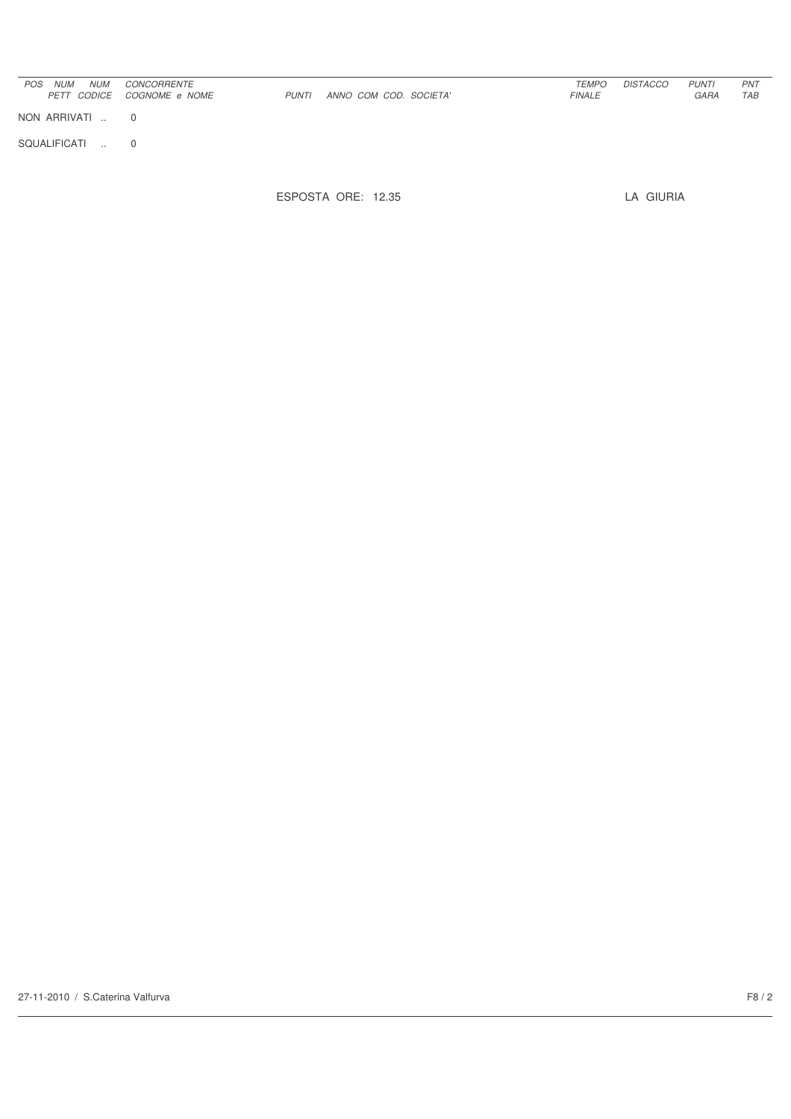| <b>NUM</b><br><b>POS</b><br><b>NUM</b><br><i>PETT CODICE</i> | <b>CONCORRENTE</b><br><i>COGNOME e NOME</i> | <b>PUNTI</b> | ANNO COM COD. SOCIETA' | <b>TEMPO</b><br><b>FINALE</b> | <b>DISTACCO</b> | <b>PUNTI</b><br>GARA | <b>PNT</b><br>TAB |
|--------------------------------------------------------------|---------------------------------------------|--------------|------------------------|-------------------------------|-----------------|----------------------|-------------------|
| NON ARRIVATI                                                 | 0                                           |              |                        |                               |                 |                      |                   |
| SQUALIFICATI<br>$\sim$                                       | $\Omega$                                    |              |                        |                               |                 |                      |                   |

ESPOSTA ORE: 12.35 LA GIURIA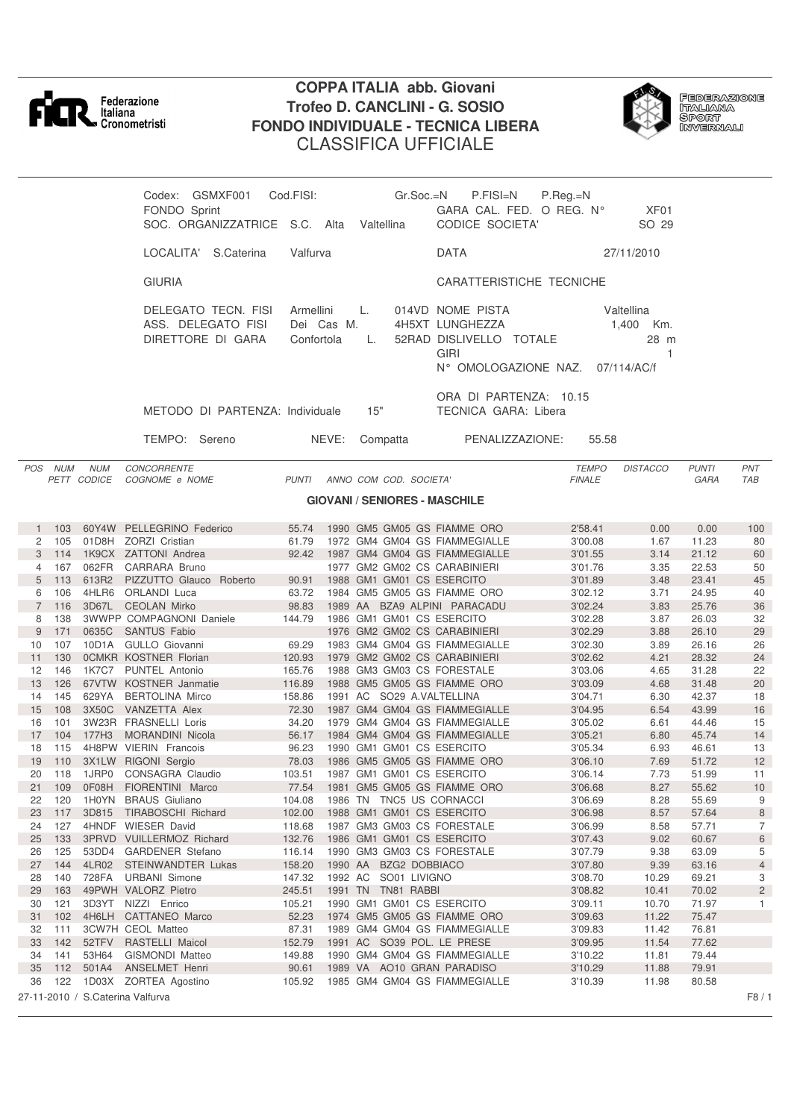

*PETT CODICE COGNOME e NOME* 

## **COPPA ITALIA abb. Giovani Trofeo D. CANCLINI - G. SOSIO FONDO INDIVIDUALE - TECNICA LIBERA** CLASSIFICA UFFICIALE



Federazione<br>Italiana<br>Sport<br>Invernali

| Codex: GSMXF001                                                |            | Cod.FISI:                             | $Gr.Soc = N$ | P.FISI=N                                                                                       | $P.$ Reg. $=N$ |                                                   |
|----------------------------------------------------------------|------------|---------------------------------------|--------------|------------------------------------------------------------------------------------------------|----------------|---------------------------------------------------|
| FONDO Sprint                                                   |            |                                       |              | GARA CAL. FED. O REG. N°                                                                       |                | XF <sub>01</sub>                                  |
| SOC. ORGANIZZATRICE S.C. Alta                                  |            |                                       | Valtellina   | CODICE SOCIETA'                                                                                |                | SO 29                                             |
| LOCALITA'                                                      | S.Caterina | Valfurva                              |              | <b>DATA</b>                                                                                    |                | 27/11/2010                                        |
| <b>GIURIA</b>                                                  |            |                                       |              | <b>CARATTERISTICHE TECNICHE</b>                                                                |                |                                                   |
| DELEGATO TECN. FISI<br>ASS. DELEGATO FISI<br>DIRETTORE DI GARA |            | Armellini<br>Dei Cas M.<br>Confortola | L.<br>L.     | 014VD NOME PISTA<br>4H5XT LUNGHEZZA<br>52RAD DISLIVELLO TOTALE<br>GIRI<br>N° OMOLOGAZIONE NAZ. |                | Valtellina<br>1.400<br>Km.<br>28 m<br>07/114/AC/f |
| METODO DI PARTENZA: Individuale                                |            |                                       | 15"          | ORA DI PARTENZA: 10.15<br>TECNICA GARA: Libera                                                 |                |                                                   |
| TEMPO:<br>Sereno                                               |            | NEVE:                                 | Compatta     | PENALIZZAZIONE:                                                                                |                | 55.58                                             |

**GIOVANI / SENIORES - MASCHILE**

*POS NUM NUM CONCORRENTE TEMPO DISTACCO PUNTI PNT*

| 1              | 103 |                   | 60Y4W PELLEGRINO Federico        | 55.74  |         | 1990 GM5 GM05 GS FIAMME ORO   |  | 2'58.41 | 0.00  | 0.00  | 100            |
|----------------|-----|-------------------|----------------------------------|--------|---------|-------------------------------|--|---------|-------|-------|----------------|
| 2              | 105 | 01D8H             | ZORZI Cristian                   | 61.79  |         | 1972 GM4 GM04 GS FIAMMEGIALLE |  | 3'00.08 | 1.67  | 11.23 | 80             |
| 3              | 114 |                   | 1K9CX ZATTONI Andrea             | 92.42  |         | 1987 GM4 GM04 GS FIAMMEGIALLE |  | 3'01.55 | 3.14  | 21.12 | 60             |
| 4              | 167 | 062FR             | CARRARA Bruno                    |        |         | 1977 GM2 GM02 CS CARABINIERI  |  | 3'01.76 | 3.35  | 22.53 | 50             |
| 5              | 113 | 613R2             | PIZZUTTO Glauco<br>Roberto       | 90.91  |         | 1988 GM1 GM01 CS ESERCITO     |  | 3'01.89 | 3.48  | 23.41 | 45             |
| 6              | 106 | 4HLR6             | <b>ORLANDI</b> Luca              | 63.72  |         | 1984 GM5 GM05 GS FIAMME ORO   |  | 3'02.12 | 3.71  | 24.95 | 40             |
| $\overline{7}$ | 116 | 3D67L             | <b>CEOLAN Mirko</b>              | 98.83  |         | 1989 AA BZA9 ALPINI PARACADU  |  | 3'02.24 | 3.83  | 25.76 | 36             |
| 8              | 138 |                   | <b>3WWPP COMPAGNONI Daniele</b>  | 144.79 |         | 1986 GM1 GM01 CS ESERCITO     |  | 3'02.28 | 3.87  | 26.03 | 32             |
| 9              | 171 | 0635C             | <b>SANTUS Fabio</b>              |        |         | 1976 GM2 GM02 CS CARABINIERI  |  | 3'02.29 | 3.88  | 26.10 | 29             |
| 10             | 107 |                   | 10D1A GULLO Giovanni             | 69.29  |         | 1983 GM4 GM04 GS FIAMMEGIALLE |  | 3'02.30 | 3.89  | 26.16 | 26             |
| 11             | 130 |                   | <b>OCMKR KOSTNER Florian</b>     | 120.93 |         | 1979 GM2 GM02 CS CARABINIERI  |  | 3'02.62 | 4.21  | 28.32 | 24             |
| 12             | 146 | 1K7C7             | <b>PUNTEL Antonio</b>            | 165.76 |         | 1988 GM3 GM03 CS FORESTALE    |  | 3'03.06 | 4.65  | 31.28 | 22             |
| 13             | 126 |                   | 67VTW KOSTNER Janmatie           | 116.89 |         | 1988 GM5 GM05 GS FIAMME ORO   |  | 3'03.09 | 4.68  | 31.48 | 20             |
| 14             | 145 | 629YA             | <b>BERTOLINA Mirco</b>           | 158.86 |         | 1991 AC SO29 A.VALTELLINA     |  | 3'04.71 | 6.30  | 42.37 | 18             |
| 15             | 108 |                   | 3X50C VANZETTA Alex              | 72.30  |         | 1987 GM4 GM04 GS FIAMMEGIALLE |  | 3'04.95 | 6.54  | 43.99 | 16             |
| 16             | 101 |                   | 3W23R FRASNELLI Loris            | 34.20  |         | 1979 GM4 GM04 GS FIAMMEGIALLE |  | 3'05.02 | 6.61  | 44.46 | 15             |
| 17             | 104 | 177H <sub>3</sub> | <b>MORANDINI Nicola</b>          | 56.17  |         | 1984 GM4 GM04 GS FIAMMEGIALLE |  | 3'05.21 | 6.80  | 45.74 | 14             |
| 18             | 115 |                   | 4H8PW VIERIN Francois            | 96.23  |         | 1990 GM1 GM01 CS ESERCITO     |  | 3'05.34 | 6.93  | 46.61 | 13             |
| 19             | 110 |                   | 3X1LW RIGONI Sergio              | 78.03  |         | 1986 GM5 GM05 GS FIAMME ORO   |  | 3'06.10 | 7.69  | 51.72 | 12             |
| 20             | 118 | 1JRP0             | CONSAGRA Claudio                 | 103.51 |         | 1987 GM1 GM01 CS ESERCITO     |  | 3'06.14 | 7.73  | 51.99 | 11             |
| 21             | 109 | 0F08H             | FIORENTINI Marco                 | 77.54  |         | 1981 GM5 GM05 GS FIAMME ORO   |  | 3'06.68 | 8.27  | 55.62 | 10             |
| 22             | 120 |                   | 1H0YN BRAUS Giuliano             | 104.08 |         | 1986 TN TNC5 US CORNACCI      |  | 3'06.69 | 8.28  | 55.69 | 9              |
| 23             | 117 | 3D815             | <b>TIRABOSCHI Richard</b>        | 102.00 |         | 1988 GM1 GM01 CS ESERCITO     |  | 3'06.98 | 8.57  | 57.64 | 8              |
| 24             | 127 |                   | 4HNDF WIESER David               | 118.68 |         | 1987 GM3 GM03 CS FORESTALE    |  | 3'06.99 | 8.58  | 57.71 | $\overline{7}$ |
| 25             | 133 |                   | 3PRVD VUILLERMOZ Richard         | 132.76 |         | 1986 GM1 GM01 CS ESERCITO     |  | 3'07.43 | 9.02  | 60.67 | 6              |
| 26             | 125 | 53DD4             | <b>GARDENER</b> Stefano          | 116.14 |         | 1990 GM3 GM03 CS FORESTALE    |  | 3'07.79 | 9.38  | 63.09 | 5              |
| 27             | 144 | 4LR02             | <b>STEINWANDTER Lukas</b>        | 158.20 | 1990 AA | <b>BZG2 DOBBIACO</b>          |  | 3'07.80 | 9.39  | 63.16 | $\overline{4}$ |
| 28             | 140 | 728FA             | <b>URBANI</b> Simone             | 147.32 | 1992 AC | SO01 LIVIGNO                  |  | 3'08.70 | 10.29 | 69.21 | 3              |
| 29             | 163 |                   | 49PWH VALORZ Pietro              | 245.51 | 1991 TN | TN81 RABBI                    |  | 3'08.82 | 10.41 | 70.02 | $\overline{c}$ |
| 30             | 121 | 3D3YT             | NIZZI Enrico                     | 105.21 |         | 1990 GM1 GM01 CS ESERCITO     |  | 3'09.11 | 10.70 | 71.97 | $\mathbf{1}$   |
| 31             | 102 | 4H6LH             | <b>CATTANEO Marco</b>            | 52.23  |         | 1974 GM5 GM05 GS FIAMME ORO   |  | 3'09.63 | 11.22 | 75.47 |                |
| 32             | 111 |                   | 3CW7H CEOL Matteo                | 87.31  |         | 1989 GM4 GM04 GS FIAMMEGIALLE |  | 3'09.83 | 11.42 | 76.81 |                |
| 33             | 142 | 52TFV             | <b>RASTELLI Maicol</b>           | 152.79 |         | 1991 AC SO39 POL. LE PRESE    |  | 3'09.95 | 11.54 | 77.62 |                |
| 34             | 141 | 53H64             | <b>GISMONDI Matteo</b>           | 149.88 |         | 1990 GM4 GM04 GS FIAMMEGIALLE |  | 3'10.22 | 11.81 | 79.44 |                |
| 35             | 112 | 501A4             | <b>ANSELMET Henri</b>            | 90.61  |         | 1989 VA AO10 GRAN PARADISO    |  | 3'10.29 | 11.88 | 79.91 |                |
| 36             | 122 |                   | 1D03X ZORTEA Agostino            | 105.92 |         | 1985 GM4 GM04 GS FIAMMEGIALLE |  | 3'10.39 | 11.98 | 80.58 |                |
|                |     |                   | 27-11-2010 / S.Caterina Valfurva |        |         |                               |  |         |       |       | F8/1           |
|                |     |                   |                                  |        |         |                               |  |         |       |       |                |